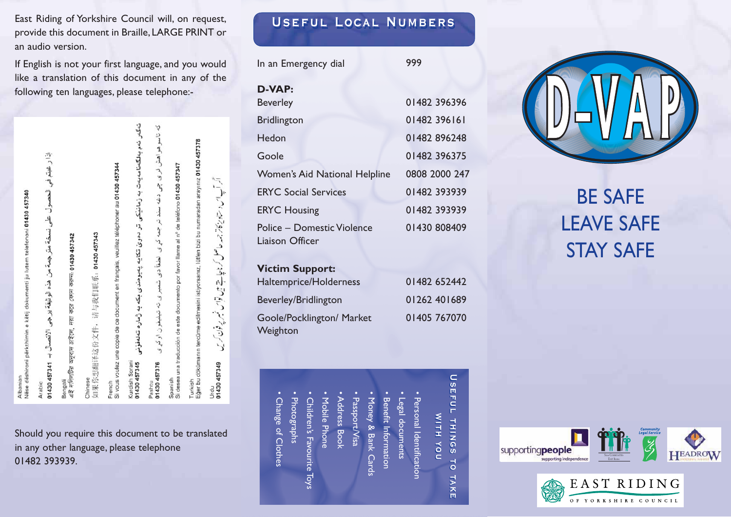East Riding of Yorkshire Council will, on request, **USEFUL LOCAL NUMBERS** provide this document in Braille,LARGE PRINT or an audio version.

If English is not your first language, and you would like a translation of this document in any of the following ten languages, please telephone:-

| ëse dëshironi përkthimin e këtij dokumenti ju lutem telefononi 01430 457340 | إذا رُ غَيْمَ فِي الحصول على نسخة مترجهة من هذه الوثيقة برجي الاتصال بـ 148734 1480 | ৫ই দলিলটির অনুবাদ চাইলে, দয়া করে ফোন করন্ন 01430 457342 | Ⅱ果你想翻译这份文件, 请与我们联系: 01430 457343 | i vous voulez une copie de ce document en français, veuillez téléphoner au 01430 457344 | نهگەر ئەم بەلگەنامەيەت بە زمانىيكى تر دەوي تكايە پەيوەندى بكە بە ژمارە تەلەقۇنى | که تاسو هو اهش لری چی دغه سند تر جمه کړی لطفاً دی شمیری ته تبلیغو ن اوکړی | i desea una traducción de este documento por favor llame al nº de teléfono 01430 457347 | ğer bu dökümanın tercüme edilmesini istiyorsanız, lütfen bizi bu numaradan arayınız 01430 457378 | اکر آپ اس و ستادیکاتر جمعہ حاصل کر ناچاہتے ہیں قواس فسیر پر پوفان کریں |  |
|-----------------------------------------------------------------------------|-------------------------------------------------------------------------------------|----------------------------------------------------------|----------------------------------|-----------------------------------------------------------------------------------------|---------------------------------------------------------------------------------|---------------------------------------------------------------------------|-----------------------------------------------------------------------------------------|--------------------------------------------------------------------------------------------------|------------------------------------------------------------------------|--|
| Ibanian                                                                     | rabic                                                                               | engali                                                   | hinese                           | rench                                                                                   | urdish Sorani<br>1430 457345                                                    | 1430 457376<br>ashtu                                                      | panish                                                                                  | urkish                                                                                           | 1430 457349<br>Irdu                                                    |  |

Should you require this document to be translated in any other language, please telephone 01482 393939.

| In an Emergency dial                          | 999           |  |  |  |
|-----------------------------------------------|---------------|--|--|--|
| D-VAP:                                        |               |  |  |  |
| <b>Beverley</b>                               | 01482 396396  |  |  |  |
| <b>Bridlington</b>                            | 01482 396161  |  |  |  |
| Hedon                                         | 01482896248   |  |  |  |
| Goole                                         | 01482 396375  |  |  |  |
| Women's Aid National Helpline                 | 0808 2000 247 |  |  |  |
| <b>ERYC Social Services</b>                   | 01482 393939  |  |  |  |
| <b>ERYC Housing</b>                           | 01482 393939  |  |  |  |
| Police – Domestic Violence<br>Liaison Officer | 01430 808409  |  |  |  |
| <b>Victim Support:</b>                        |               |  |  |  |
| Haltemprice/Holderness                        | 01482 652442  |  |  |  |
| Beverley/Bridlington                          | 01262 401689  |  |  |  |

Goole/Pocklington/ Market

Weighton

• Change of Clothes

· Change of Clothes

• Photographs

Photographs

• Children's Favourite Toys

Children's Favourite Toys

• Mobile Phone • Address Book • Passport/Visa

Mobile Phone

**Address Book** 

• Money & Bank Cards • Benefit Information • Legal documents

**Joney & Bank Card** 

Benefit Information

sgal documents

Passport/Visa

# BE SAFE LEAVE SAFE STAY SAFE

#### **USEFUL Useful things to take Useful things to take WITH with you with you** THINGS nox  $\overline{5}$ TAKE

• Personal Identification

Personal Identificatior

01405 767070







SAFE COMMUNITIES EAST Rideng